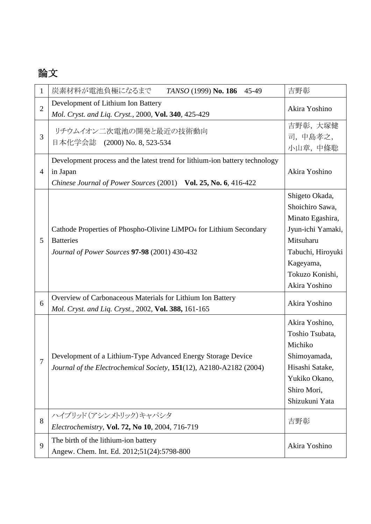## 論文

| $\mathbf 1$    | 炭素材料が電池負極になるまで<br>TANSO (1999) No. 186<br>45-49                                                                                                            | 吉野彰                                                                                                                                                           |
|----------------|------------------------------------------------------------------------------------------------------------------------------------------------------------|---------------------------------------------------------------------------------------------------------------------------------------------------------------|
| $\overline{2}$ | Development of Lithium Ion Battery<br>Mol. Cryst. and Liq. Cryst., 2000, Vol. 340, 425-429                                                                 | Akira Yoshino                                                                                                                                                 |
| 3              | リチウムイオン二次電池の開発と最近の技術動向<br>日本化学会誌 (2000) No. 8, 523-534                                                                                                     | 吉野彰, 大塚健<br>司,中島孝之,<br>小山章, 中條聡                                                                                                                               |
| $\overline{4}$ | Development process and the latest trend for lithium-ion battery technology<br>in Japan<br>Chinese Journal of Power Sources (2001) Vol. 25, No. 6, 416-422 | Akira Yoshino                                                                                                                                                 |
| 5              | Cathode Properties of Phospho-Olivine LiMPO <sub>4</sub> for Lithium Secondary<br><b>Batteries</b><br>Journal of Power Sources 97-98 (2001) 430-432        | Shigeto Okada,<br>Shoichiro Sawa,<br>Minato Egashira,<br>Jyun-ichi Yamaki,<br>Mitsuharu<br>Tabuchi, Hiroyuki<br>Kageyama,<br>Tokuzo Konishi,<br>Akira Yoshino |
| 6              | Overview of Carbonaceous Materials for Lithium Ion Battery<br>Mol. Cryst. and Liq. Cryst., 2002, Vol. 388, 161-165                                         | Akira Yoshino                                                                                                                                                 |
| 7              | Development of a Lithium-Type Advanced Energy Storage Device<br>Journal of the Electrochemical Society, 151(12), A2180-A2182 (2004)                        | Akira Yoshino,<br>Toshio Tsubata,<br>Michiko<br>Shimoyamada,<br>Hisashi Satake,<br>Yukiko Okano,<br>Shiro Mori,<br>Shizukuni Yata                             |
| $8\,$          | ハイブリッド(アシンメトリック)キャパシタ<br>Electrochemistry, Vol. 72, No 10, 2004, 716-719                                                                                   | 吉野彰                                                                                                                                                           |
| 9              | The birth of the lithium-ion battery<br>Angew. Chem. Int. Ed. 2012;51(24):5798-800                                                                         | Akira Yoshino                                                                                                                                                 |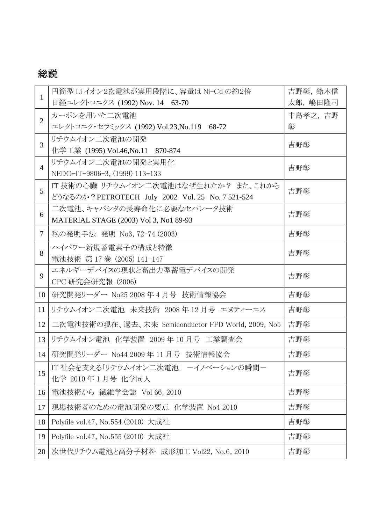## 総説

| $\mathbf{1}$   | 円筒型 Li イオン2次電池が実用段階に、容量は Ni-Cd の約2倍                | 吉野彰, 鈴木信 |
|----------------|----------------------------------------------------|----------|
|                | 日経エレクトロニクス (1992) Nov. 14 63-70                    | 太郎,嶋田隆司  |
| $\overline{2}$ | カーボンを用いた二次電池                                       | 中島孝之, 吉野 |
|                | エレクトロニク・セラミックス (1992) Vol.23,No.119 68-72          | 彰        |
| $\overline{3}$ | リチウムイオン二次電池の開発                                     | 吉野彰      |
|                | 化学工業 (1995) Vol.46, No.11 870-874                  |          |
| $\overline{4}$ | リチウムイオン二次電池の開発と実用化                                 | 吉野彰      |
|                | NEDO-IT-9806-3, (1999) 113-133                     |          |
| 5              | IT 技術の心臓 リチウムイオン二次電池はなぜ生れたか? また、これから               | 吉野彰      |
|                | どうなるのか? PETROTECH July 2002 Vol. 25 No. 7 521-524  |          |
| 6              | 二次電池、キャパシタの長寿命化に必要なセパレータ技術                         | 吉野彰      |
|                | MATERIAL STAGE (2003) Vol 3, No1 89-93             |          |
| $\tau$         | 私の発明手法 発明 No3, 72-74 (2003)                        | 吉野彰      |
| 8              | ハイパワー新規蓄電素子の構成と特徴                                  | 吉野彰      |
|                | 電池技術 第 17 巻 (2005) 141-147                         |          |
| 9              | エネルギーデバイスの現状と高出力型蓄電デバイスの開発                         | 吉野彰      |
|                | CPC 研究会研究報 (2006)                                  |          |
| 10             | 研究開発リーダー No25 2008年4月号 技術情報協会                      | 吉野彰      |
| 11             | リチウムイオン二次電池 未来技術 2008年12月号 エヌティーエス                 | 吉野彰      |
| 12             | 二次電池技術の現在、過去、未来 Semiconductor FPD World, 2009, No5 | 吉野彰      |
| 13             | リチウムイオン電池 化学装置 2009年10月号 工業調査会                     | 吉野彰      |
| 14             | 研究開発リーダー No44 2009 年 11 月号 技術情報協会                  | 吉野彰      |
| 15             | IT 社会を支える「リチウムイオン二次電池」 ーイノベーションの瞬間-                | 吉野彰      |
|                | 化学 2010年1月号 化学同人                                   |          |
| 16             | 電池技術から 繊維学会誌 Vol 66, 2010                          | 吉野彰      |
| 17             | 現場技術者のための電池開発の要点 化学装置 No4 2010                     | 吉野彰      |
| 18             | Polyfile vol.47, No.554 (2010) 大成社                 | 吉野彰      |
| 19             | Polyfile vol.47, No.555 (2010) 大成社                 | 吉野彰      |
| 20             | 次世代リチウム電池と高分子材料 成形加工 Vol22, No.6, 2010             | 吉野彰      |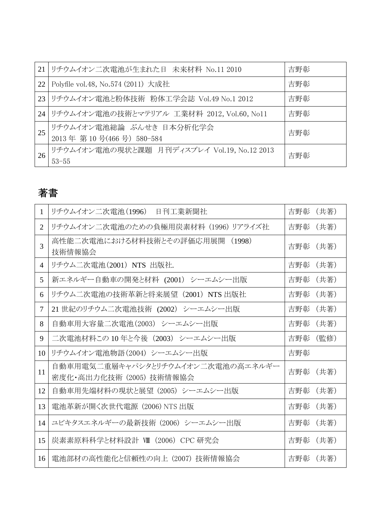| 21 | リチウムイオン二次電池が生まれた日 未来材料 No.11 2010                        | 吉野彰 |
|----|----------------------------------------------------------|-----|
| 22 | Polyfile vol.48, No.574 (2011) 大成社                       | 吉野彰 |
| 23 | リチウムイオン電池と粉体技術 粉体工学会誌 Vol.49 No.1 2012                   | 吉野彰 |
|    | 24 リチウムイオン電池の技術とマテリアル 工業材料 2012, Vol.60, No11            | 吉野彰 |
| 25 | リチウムイオン電池総論 ぶんせき 日本分析化学会<br>2013年第10号(466号) 580-584      | 吉野彰 |
| 26 | リチウムイオン電池の現状と課題 月刊ディスプレイ Vol.19, No.12 2013<br>$53 - 55$ | 吉野彰 |

# 著書

| 1              | リチウムイオン二次電池(1996)<br>日刊工業新聞社                                  | 吉野彰<br>(共著) |
|----------------|---------------------------------------------------------------|-------------|
| $\overline{2}$ | リチウムイオン二次電池のための負極用炭素材料 (1996) リアライズ社                          | 吉野彰 (共著)    |
| 3              | 高性能二次電池における材料技術とその評価応用展開 (1998)<br>技術情報協会                     | 吉野彰<br>(共著) |
| $\overline{4}$ | リチウム二次電池(2001) NTS 出版社.                                       | 吉野彰 (共著)    |
| 5              | 新エネルギー自動車の開発と材料 (2001) シーエムシー出版                               | 吉野彰<br>(共著) |
| 6              | リチウム二次電池の技術革新と将来展望 (2001) NTS 出版社                             | 吉野彰<br>(共著) |
| $\overline{7}$ | 21 世紀のリチウム二次電池技術 (2002) シーエムシー出版                              | 吉野彰<br>(共著) |
| 8              | 自動車用大容量二次電池(2003) シーエムシー出版                                    | 吉野彰<br>(共著) |
| 9              | 二次電池材料この 10年と今後 (2003) シーエムシー出版                               | (監修)<br>吉野彰 |
| 10             | リチウムイオン電池物語(2004) シーエムシー出版                                    | 吉野彰         |
| 11             | 自動車用電気二重層キャパシタとリチウムイオン二次電池の高エネルギー<br>密度化・高出力化技術 (2005) 技術情報協会 | 吉野彰<br>(共著) |
| 12             | 自動車用先端材料の現状と展望 (2005) シーエムシー出版                                | 吉野彰<br>(共著) |
| 13             | 電池革新が開く次世代電源 (2006) NTS 出版                                    | 吉野彰<br>(共著) |
| 14             | ユビキタスエネルギーの最新技術 (2006) シーエムシー出版                               | 吉野彰<br>(共著) |
| 15             | 炭素素原料科学と材料設計 Ⅶ (2006) CPC 研究会                                 | 吉野彰 (共著)    |
| 16             | 電池部材の高性能化と信頼性の向上 (2007) 技術情報協会                                | 吉野彰 (共著)    |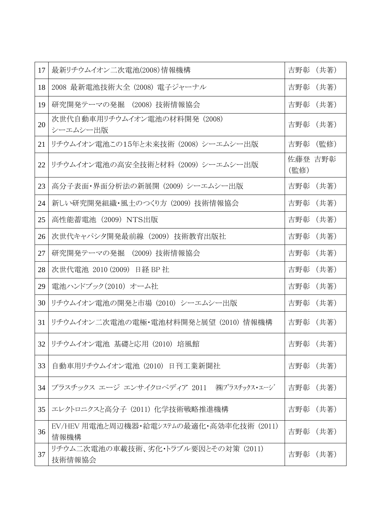| 17 | 最新リチウムイオン二次電池(2008)情報機構                          | 吉野彰<br>(共著)     |
|----|--------------------------------------------------|-----------------|
| 18 | 2008 最新電池技術大全 (2008) 電子ジャーナル                     | 吉野彰 (共著)        |
| 19 | 研究開発テーマの発掘 (2008)技術情報協会                          | 吉野彰 (共著)        |
| 20 | 次世代自動車用リチウムイオン電池の材料開発 (2008)<br>シーエムシー出版         | 吉野彰 (共著)        |
| 21 | リチウムイオン電池この15年と未来技術 (2008) シーエムシー出版              | 吉野彰<br>(監修)     |
| 22 | リチウムイオン電池の高安全技術と材料 (2009) シーエムシー出版               | 佐藤登 吉野彰<br>(監修) |
| 23 | 高分子表面・界面分析法の新展開 (2009) シーエムシー出版                  | 吉野彰 (共著)        |
| 24 | 新しい研究開発組織・風土のつくり方 (2009) 技術情報協会                  | 吉野彰 (共著)        |
| 25 | 高性能蓄電池(2009)NTS出版                                | 吉野彰<br>(共著)     |
| 26 | 次世代キャパシタ開発最前線 (2009) 技術教育出版社                     | 吉野彰<br>(共著)     |
| 27 | 研究開発テーマの発掘 (2009)技術情報協会                          | 吉野彰<br>(共著)     |
| 28 | 次世代電池 2010 (2009) 日経 BP社                         | 吉野彰 (共著)        |
| 29 | 電池ハンドブック(2010) オーム社                              | 吉野彰<br>(共著)     |
| 30 | リチウムイオン電池の開発と市場 (2010) シーエムシー出版                  | 吉野彰<br>(共著)     |
| 31 | リチウムイオン二次電池の電極・電池材料開発と展望 (2010) 情報機構             | (共著)<br>吉野彰     |
| 32 | リチウムイオン電池 基礎と応用 (2010) 培風館                       | 吉野彰 (共著)        |
| 33 | 自動車用リチウムイオン電池(2010)日刊工業新聞社                       | 吉野彰 (共著)        |
| 34 | プラスチックス エージ エンサイクロペディア 2011 ㈱プラスチックス・エージ         | 吉野彰 (共著)        |
| 35 | エレクトロニクスと高分子 (2011) 化学技術戦略推進機構                   | 吉野彰 (共著)        |
| 36 | EV/HEV 用電池と周辺機器・給電システムの最適化・高効率化技術 (2011)<br>情報機構 | 吉野彰<br>(共著)     |
| 37 | リチウム二次電池の車載技術、劣化・トラブル要因とその対策 (2011)<br>技術情報協会    | 吉野彰 (共著)        |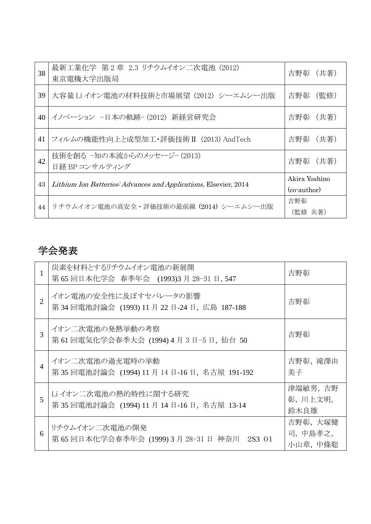| 38 | 最新工業化学 第2章 2.3 リチウムイオン二次電池 (2012)<br>東京電機大学出版局                   | 吉野彰 (共著)                                 |
|----|------------------------------------------------------------------|------------------------------------------|
| 39 | 大容量 Li イオン電池の材料技術と市場展望 (2012) シーエムシー出版                           | (監修)<br>吉野彰                              |
| 40 | イノベーション −日本の軌跡−(2012) 新経営研究会                                     | 吉野彰 (共著)                                 |
| 41 | フィルムの機能性向上と成型加工・評価技術 II (2013) AndTech                           | 吉野彰 (共著)                                 |
| 42 | 技術を創る -知の本流からのメッセージ- (2013)<br>日経 BPコンサルティング                     | 吉野彰 (共著)                                 |
| 43 | Lithium Ion Batteries: Advances and Applications, Elsevier, 2014 | Akira Yoshino<br>$(cor_{\text{author}})$ |
| 44 | リチウムイオン電池の高安全·評価技術の最前線 (2014) シーエムシー出版                           | 吉野彰<br>(監修 共著)                           |

### 学会発表

|                | 炭素を材料とするリチウムイオン電池の新展開<br>第65回日本化学会 春季年会 (1993)3月 28-31日, 547           | 吉野彰                             |
|----------------|------------------------------------------------------------------------|---------------------------------|
| $\overline{2}$ | イオン電池の安全性に及ぼすセパレータの影響<br>第 34 回電池討論会 (1993) 11 月 22 日-24 日, 広島 187-188 | 吉野彰                             |
| 3              | イオン二次電池の発熱挙動の考察<br>第61回電気化学会春季大会 (1994) 4月3日-5日, 仙台50                  | 吉野彰                             |
| $\overline{4}$ | イオン二次電池の過充電時の挙動<br>第35回電池討論会 (1994) 11 月 14 日-16 日, 名古屋 191-192        | 吉野彰,滝澤由<br>美子                   |
| 5              | Li イオン二次電池の熱的特性に関する研究<br>第35回電池討論会 (1994) 11 月 14 日-16 日, 名古屋 13-14    | 津端敏男,吉野<br>彰, 川上文明,<br>鈴木良雄     |
| 6              | リチウムイオン二次電池の開発<br>第 65 回日本化学会春季年会 (1999) 3 月 28-31 日 神奈川 2S3 01        | 吉野彰, 大塚健<br>司,中島孝之,<br>小山章, 中條聡 |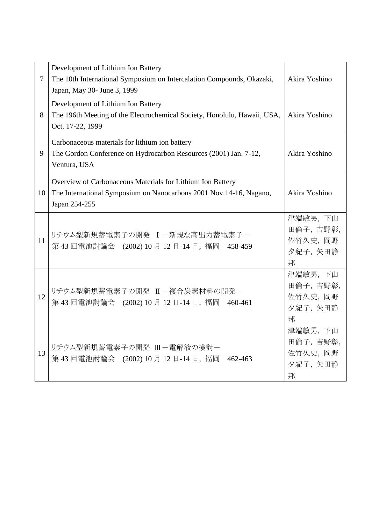| $\overline{7}$ | Development of Lithium Ion Battery<br>The 10th International Symposium on Intercalation Compounds, Okazaki,<br>Japan, May 30- June 3, 1999        | Akira Yoshino                                    |
|----------------|---------------------------------------------------------------------------------------------------------------------------------------------------|--------------------------------------------------|
| 8              | Development of Lithium Ion Battery<br>The 196th Meeting of the Electrochemical Society, Honolulu, Hawaii, USA,<br>Oct. 17-22, 1999                | Akira Yoshino                                    |
| 9              | Carbonaceous materials for lithium ion battery<br>The Gordon Conference on Hydrocarbon Resources (2001) Jan. 7-12,<br>Ventura, USA                | Akira Yoshino                                    |
| 10             | Overview of Carbonaceous Materials for Lithium Ion Battery<br>The International Symposium on Nanocarbons 2001 Nov.14-16, Nagano,<br>Japan 254-255 | Akira Yoshino                                    |
| 11             | リチウム型新規蓄電素子の開発 I-新規な高出力蓄電素子-<br>第43回電池討論会 (2002) 10月 12日-14日, 福岡 458-459                                                                          | 津端敏男, 下山<br>田倫子,吉野彰,<br>佐竹久史, 岡野<br>夕紀子,矢田静<br>邦 |
| 12             | リチウム型新規蓄電素子の開発 II-複合炭素材料の開発-<br>第43回電池討論会 (2002) 10月 12日-14日, 福岡 460-461                                                                          | 津端敏男,下山<br>田倫子,吉野彰,<br>佐竹久史, 岡野<br>夕紀子,矢田静<br>邦  |
| 13             | リチウム型新規蓄電素子の開発 Ⅲ-電解液の検討-<br>第43回電池討論会 (2002) 10月 12日-14日, 福岡 462-463                                                                              | 津端敏男, 下山<br>田倫子,吉野彰,<br>佐竹久史, 岡野<br>夕紀子,矢田静<br>邦 |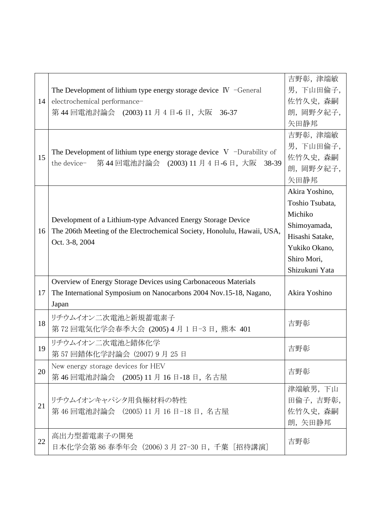| 14 | The Development of lithium type energy storage device $\mathbb{N}$ -General<br>electrochemical performance-<br>第44回電池討論会 (2003) 11 月 4 日-6 日, 大阪 36-37     | 吉野彰, 津端敏<br>男,下山田倫子,<br>佐竹久史, 森嗣<br>朗, 岡野夕紀子,<br>矢田静邦                                                                             |
|----|------------------------------------------------------------------------------------------------------------------------------------------------------------|-----------------------------------------------------------------------------------------------------------------------------------|
| 15 | The Development of lithium type energy storage device $V$ -Durability of<br>第44回電池討論会 (2003) 11 月 4 日-6 日, 大阪 38-39<br>the device-                         | 吉野彰, 津端敏<br>男,下山田倫子,<br>佐竹久史, 森嗣<br>朗, 岡野夕紀子,<br>矢田静邦                                                                             |
| 16 | Development of a Lithium-type Advanced Energy Storage Device<br>The 206th Meeting of the Electrochemical Society, Honolulu, Hawaii, USA,<br>Oct. 3-8, 2004 | Akira Yoshino,<br>Toshio Tsubata,<br>Michiko<br>Shimoyamada,<br>Hisashi Satake,<br>Yukiko Okano,<br>Shiro Mori,<br>Shizukuni Yata |
| 17 | Overview of Energy Storage Devices using Carbonaceous Materials<br>The International Symposium on Nanocarbons 2004 Nov.15-18, Nagano,<br>Japan             | Akira Yoshino                                                                                                                     |
| 18 | リチウムイオン二次電池と新規蓄電素子<br>第72回電気化学会春季大会 (2005) 4月 1日-3日, 熊本 401                                                                                                | 吉野彰                                                                                                                               |
| 19 | リチウムイオン二次電池と錯体化学<br>第 57 回錯体化学討論会 (2007) 9 月 25 日                                                                                                          | 吉野彰                                                                                                                               |
| 20 | New energy storage devices for HEV<br>第46回電池討論会 (2005) 11月 16日-18日, 名古屋                                                                                    | 吉野彰                                                                                                                               |
| 21 | リチウムイオンキャパシタ用負極材料の特性<br>第46回電池討論会 (2005) 11月 16日-18日, 名古屋                                                                                                  | 津端敏男, 下山<br>田倫子,吉野彰,<br>佐竹久史, 森嗣<br>朗, 矢田静邦                                                                                       |
| 22 | 高出力型蓄電素子の開発<br>日本化学会第 86 春季年会(2006) 3 月 27-30 日,千葉[招待講演]                                                                                                   | 吉野彰                                                                                                                               |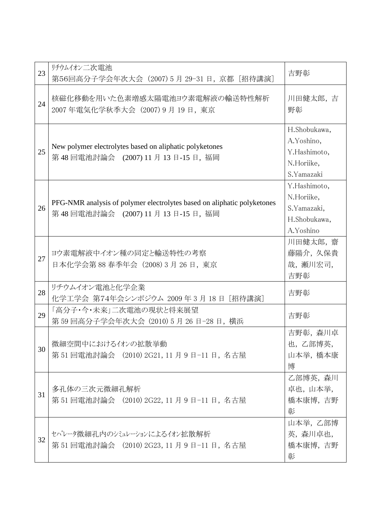| 23 | リチウムイオン二次電池<br>第56回高分子学会年次大会 (2007) 5月 29-31 日, 京都 [招待講演]                                                   | 吉野彰                                                                    |
|----|-------------------------------------------------------------------------------------------------------------|------------------------------------------------------------------------|
| 24 | 核磁化移動を用いた色素増感太陽電池ヨウ素電解液の輸送特性解析<br>2007年電気化学秋季大会 (2007) 9 月 19 日, 東京                                         | 川田健太郎,吉<br>野彰                                                          |
| 25 | New polymer electrolytes based on aliphatic polyketones<br>第48回電池討論会 (2007) 11月 13日-15日, 福岡                 | H.Shobukawa,<br>A.Yoshino,<br>Y.Hashimoto,<br>N.Horiike,<br>S.Yamazaki |
| 26 | PFG-NMR analysis of polymer electrolytes based on aliphatic polyketones<br>第48回電池討論会 (2007) 11月 13日-15日, 福岡 | Y.Hashimoto,<br>N.Horiike,<br>S.Yamazaki,<br>H.Shobukawa,<br>A.Yoshino |
| 27 | ヨウ素電解液中イオン種の同定と輸送特性の考察<br>日本化学会第88春季年会 (2008) 3 月 26 日, 東京                                                  | 川田健太郎, 齋<br>藤陽介, 久保貴<br>哉, 瀬川宏司,<br>吉野彰                                |
| 28 | リチウムイオン電池と化学企業<br>化学工学会 第74年会シンポジウム 2009年3月18日 [招待講演]                                                       | 吉野彰                                                                    |
| 29 | 「高分子・今・未来」二次電池の現状と将来展望<br>第 59 回高分子学会年次大会 (2010) 5 月 26 日-28 日, 横浜                                          | 吉野彰                                                                    |
| 30 | 微細空間中におけるイオンの拡散挙動<br>第 51 回電池討論会 (2010) 2G21, 11 月 9 日-11 日, 名古屋                                            | 吉野彰, 森川卓<br>也,乙部博英,<br>山本挙, 橋本康<br>博                                   |
| 31 | 多孔体の三次元微細孔解析<br>第 51 回電池討論会 (2010) 2G22, 11 月 9 日-11 日, 名古屋                                                 | 乙部博英, 森川<br>卓也,山本举,<br>橋本康博, 吉野<br>彰                                   |
| 32 | セパレータ微細孔内のシミュレーションによるイオン拡散解析<br>第 51 回電池討論会 (2010) 2G23, 11 月 9 日-11 日, 名古屋                                 | 山本挙,乙部博<br>英, 森川卓也,<br>橋本康博,吉野<br>彰                                    |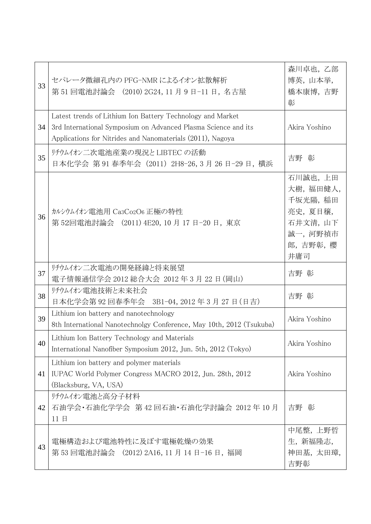| 33 | セパレータ微細孔内の PFG-NMR によるイオン拡散解析<br>第 51 回電池討論会 (2010) 2G24, 11 月 9 日-11 日, 名古屋                                                                                                               | 森川卓也, 乙部<br>博英,山本挙,<br>橋本康博, 吉野<br>彰                                                  |
|----|--------------------------------------------------------------------------------------------------------------------------------------------------------------------------------------------|---------------------------------------------------------------------------------------|
| 34 | Latest trends of Lithium Ion Battery Technology and Market<br>3rd International Symposium on Advanced Plasma Science and its<br>Applications for Nitrides and Nanomaterials (2011), Nagoya | Akira Yoshino                                                                         |
| 35 | リチウムイオン二次電池産業の現況とLIBTEC の活動<br>日本化学会 第 91 春季年会 (2011) 2H8-26, 3 月 26 日-29 日, 横浜                                                                                                            | 吉野 彰                                                                                  |
| 36 | カルシウムイオン電池用 Ca3Co2O6 正極の特性<br>第52回電池討論会 (2011) 4E20, 10 月 17 日-20 日, 東京                                                                                                                    | 石川誠也, 上田<br>大樹,福田健人,<br>千坂光陽, 稲田<br>亮史, 夏目穣,<br>石井文清,山下<br>誠一, 河野禎市<br>郎,吉野彰,櫻<br>井庸司 |
| 37 | リチウムイオン二次電池の開発経緯と将来展望<br>電子情報通信学会 2012 総合大会 2012 年 3 月 22 日 (岡山)                                                                                                                           | 吉野 彰                                                                                  |
| 38 | リチウムイオン電池技術と未来社会<br>日本化学会第92回春季年会 3B1-04, 2012年3月27日 (日吉)                                                                                                                                  | 吉野 彰                                                                                  |
| 39 | Lithium ion battery and nanotechnology<br>8th International Nanotechnolgy Conference, May 10th, 2012 (Tsukuba)                                                                             | Akira Yoshino                                                                         |
| 40 | Lithium Ion Battery Technology and Materials<br>International Nanofiber Symposium 2012, Jun. 5th, 2012 (Tokyo)                                                                             | Akira Yoshino                                                                         |
| 41 | Lithium ion battery and polymer materials<br>IUPAC World Polymer Congress MACRO 2012, Jun. 28th, 2012<br>(Blacksburg, VA, USA)                                                             | Akira Yoshino                                                                         |
| 42 | リチウムイオン電池と高分子材料<br>石油学会・石油化学学会 第42回石油・石油化学討論会 2012年10月<br>11日                                                                                                                              | 吉野 彰                                                                                  |
| 43 | 電極構造および電池特性に及ぼす電極乾燥の効果<br>第 53 回電池討論会 (2012) 2A16, 11 月 14 日−16 日,福岡                                                                                                                       | 中尾整,上野哲<br>生, 新福隆志,<br>神田基,太田璋,<br>吉野彰                                                |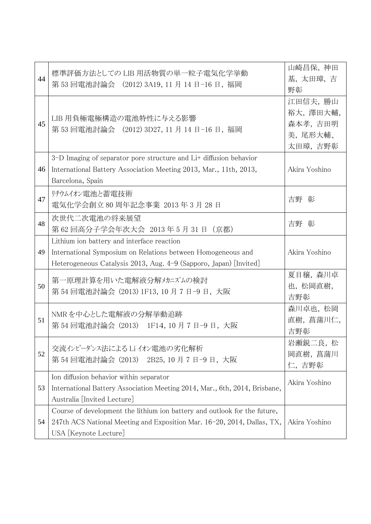| 44 | 標準評価方法としての LIB 用活物質の単一粒子電気化学挙動<br>第 53 回電池討論会 (2012) 3A19, 11 月 14 日-16 日, 福岡                                                                                                   | 山崎昌保, 神田<br>基,太田璋,吉<br>野彰                               |
|----|---------------------------------------------------------------------------------------------------------------------------------------------------------------------------------|---------------------------------------------------------|
| 45 | LIB 用負極電極構造の電池特性に与える影響<br>第 53 回電池討論会 (2012) 3D27, 11 月 14 日-16 日, 福岡                                                                                                           | 江田信夫, 勝山<br>裕大, 澤田大輔,<br>森本孝,吉田明<br>美, 尾形大輔、<br>太田璋,吉野彰 |
| 46 | 3–D Imaging of separator pore structure and Li+ diffusion behavior<br>International Battery Association Meeting 2013, Mar., 11th, 2013,<br>Barcelona, Spain                     | Akira Yoshino                                           |
| 47 | リチウムイオン電池と蓄電技術<br>電気化学会創立 80 周年記念事業 2013 年 3 月 28 日                                                                                                                             | 吉野 彰                                                    |
| 48 | 次世代二次電池の将来展望<br>第62回高分子学会年次大会 2013年5月31日 (京都)                                                                                                                                   | 吉野 彰                                                    |
| 49 | Lithium ion battery and interface reaction<br>International Symposium on Relations between Homogeneous and<br>Heterogeneous Catalysis 2013, Aug. 4-9 (Sapporo, Japan) [Invited] | Akira Yoshino                                           |
| 50 | 第一原理計算を用いた電解液分解メカニズムの検討<br>第 54 回電池討論会 (2013) 1F13, 10 月 7 日-9 日, 大阪                                                                                                            | 夏目穣, 森川卓<br>也, 松岡直樹,<br>吉野彰                             |
| 51 | NMRを中心とした電解液の分解挙動追跡<br>第 54 回電池討論会 (2013) 1F14, 10 月 7 日-9 日, 大阪                                                                                                                | 森川卓也, 松岡<br>直樹, 菖蒲川仁,<br>吉野彰                            |
| 52 | 交流インピーダンス法による Li イオン電池の劣化解析<br>第 54 回電池討論会 (2013) 2B25, 10 月 7 日-9 日, 大阪                                                                                                        | 岩瀬鋭二良, 松<br>岡直樹, 菖蒲川<br>仁,吉野彰                           |
| 53 | Ion diffusion behavior within separator<br>International Battery Association Meeting 2014, Mar., 6th, 2014, Brisbane,<br>Australia [Invited Lecture]                            | Akira Yoshino                                           |
| 54 | Course of development the lithium ion battery and outlook for the future,<br>247th ACS National Meeting and Exposition Mar. 16-20, 2014, Dallas, TX,<br>USA [Keynote Lecture]   | Akira Yoshino                                           |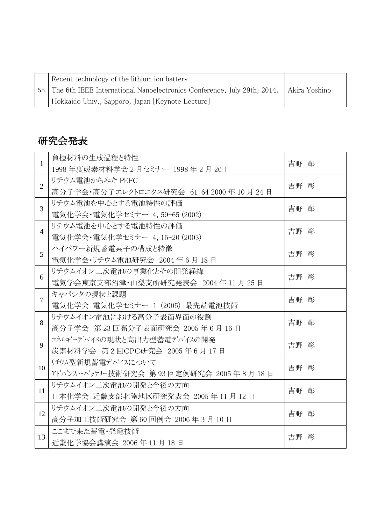| Recent technology of the lithium ion battery                                                          |  |
|-------------------------------------------------------------------------------------------------------|--|
| <sup>1</sup> 55 The 6th IEEE International Nanoelectronics Conference, July 29th, 2014, Akira Yoshino |  |
| Hokkaido Univ., Sapporo, Japan [Keynote Lecture]                                                      |  |

#### 研究会発表

| $\mathbf{1}$   | 負極材料の生成過程と特性                           | 吉野 彰 |
|----------------|----------------------------------------|------|
|                | 1998年度炭素材料学会 2月セミナー 1998年2月26日         |      |
| $\overline{2}$ | リチウム電池からみた PEFC                        | 吉野 彰 |
|                | 高分子学会・高分子エレクトロニクス研究会 61-64 2000年10月24日 |      |
| $\overline{3}$ | リチウム電池を中心とする電池特性の評価                    | 吉野 彰 |
|                | 電気化学会・電気化学セミナー 4,59-65 (2002)          |      |
| $\overline{4}$ | リチウム電池を中心とする電池特性の評価                    | 吉野 彰 |
|                | 電気化学会・電気化学セミナー 4, 15-20 (2003)         |      |
| 5              | ハイパワー新規蓄電素子の構成と特徴                      | 吉野 彰 |
|                | 電気化学会・リチウム電池研究会 2004年6月18日             |      |
| 6              | リチウムイオン二次電池の事業化とその開発経緯                 | 吉野 彰 |
|                | 電気学会東京支部沼津・山梨支所研究発表会 2004年11月25日       |      |
| $\overline{7}$ | キャパシタの現状と課題                            | 吉野 彰 |
|                | 電気化学会 電気化学セミナー 1 (2005) 最先端電池技術        |      |
| 8              | リチウムイオン電池における高分子表面界面の役割                | 吉野 彰 |
|                | 高分子学会 第23回高分子表面研究会 2005年6月16日          |      |
| 9              | ェネルギーデバイスの現状と高出力型蓄電デバイスの開発             | 吉野 彰 |
|                | 炭素材料学会 第2回CPC研究会 2005年6月17日            |      |
| 10             | リチウム型新規蓄電デバイスについて                      | 吉野 彰 |
|                | アドハンスト・ハッテリー技術研究会 第93回定例研究会 2005年8月18日 |      |
| 11             | リチウムイオン二次電池の開発と今後の方向                   | 吉野 彰 |
|                | 日本化学会 近畿支部北陸地区研究発表会 2005年11月12日        |      |
|                | リチウムイオン二次電池の開発と今後の方向                   | 吉野 彰 |
| 12             | 高分子加工技術研究会 第60回例会 2006年3月10日           |      |
| 13             | ここまで来た蓄電・発電技術                          |      |
|                | 近畿化学協会講演会 2006年11月18日                  | 吉野 彰 |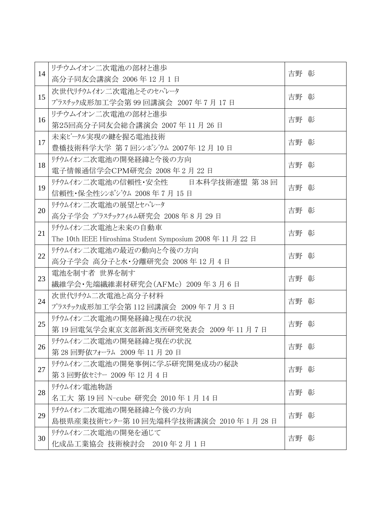| 14 | リチウムイオン二次電池の部材と進歩                                     | 吉野 彰 |
|----|-------------------------------------------------------|------|
|    | 高分子同友会講演会 2006年12月1日                                  |      |
| 15 | 次世代リチウムイオン二次電池とそのセパレータ                                | 吉野 彰 |
|    | プラスチック成形加工学会第 99 回講演会 2007 年 7 月 17 日                 |      |
| 16 | リチウムイオン二次電池の部材と進歩                                     | 吉野 彰 |
|    | 第25回高分子同友会総合講演会 2007年11月26日                           |      |
| 17 | 未来ビークル実現の鍵を握る電池技術                                     | 吉野 彰 |
|    | 豊橋技術科学大学 第7回シンポジウム 2007年 12 月 10 日                    |      |
| 18 | リチウムイオン二次電池の開発経緯と今後の方向                                | 吉野 彰 |
|    | 電子情報通信学会CPM研究会 2008年2月22日                             |      |
| 19 | リチウムイオン二次電池の信頼性・安全性 日本科学技術連盟 第38回                     | 吉野 彰 |
|    | 信頼性・保全性シンポジウム 2008年7月15日                              |      |
| 20 | リチウムイオン二次電池の展望とセパレータ                                  | 吉野 彰 |
|    | 高分子学会 プラスチックフィルム研究会 2008年8月29日                        |      |
| 21 | リチウムイオン二次電池と未来の自動車                                    | 吉野 彰 |
|    | The 10th IEEE Hiroshima Student Symposium 2008年11月22日 |      |
| 22 | リチウムイオン二次電池の最近の動向と今後の方向                               | 吉野 彰 |
|    | 高分子学会 高分子と水・分離研究会 2008年12月4日                          |      |
| 23 | 電池を制す者 世界を制す                                          | 吉野 彰 |
|    | 繊維学会·先端繊維素材研究会(AFMc) 2009年3月6日                        |      |
| 24 | 次世代リチウム二次電池と高分子材料                                     | 吉野 彰 |
|    | プラスチック成形加工学会第 112 回講演会 2009 年 7 月 3 日                 |      |
| 25 | リチウムイオン二次電池の開発経緯と現在の状況                                | 吉野 彰 |
|    | 第19回電気学会東京支部新潟支所研究発表会 2009年11月7日                      |      |
| 26 | リチウムイオン二次電池の開発経緯と現在の状況                                |      |
|    | 第28回野依フォーラム 2009年11月20日                               | 吉野 彰 |
| 27 | リチウムイオン二次電池の開発事例に学ぶ研究開発成功の秘訣                          |      |
|    | 第3回野依セミナー 2009年12月4日                                  | 吉野 彰 |
|    | リチウムイオン電池物語                                           |      |
| 28 | 名工大 第19回 N-cube 研究会 2010年1月14日                        | 吉野 彰 |
| 29 | リチウムイオン二次電池の開発経緯と今後の方向                                |      |
|    | 島根県産業技術センター第10回先端科学技術講演会 2010年1月28日                   | 吉野 彰 |
| 30 | リチウムイオン二次電池の開発を通じて                                    |      |
|    | 化成品工業協会 技術検討会 2010年2月1日                               | 吉野 彰 |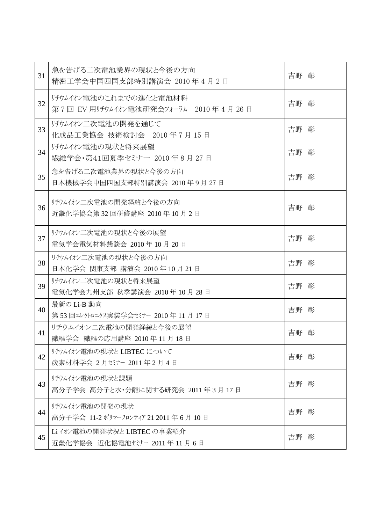| 31 | 急を告げる二次電池業界の現状と今後の方向<br>精密工学会中国四国支部特別講演会 2010年4月2日             | 吉野 彰 |
|----|----------------------------------------------------------------|------|
| 32 | リチウムイオン電池のこれまでの進化と電池材料<br>第7回 EV 用リチウムイオン電池研究会フォーラム 2010年4月26日 | 吉野 彰 |
| 33 | リチウムイオン二次電池の開発を通じて<br>化成品工業協会 技術検討会 2010年7月15日                 | 吉野 彰 |
| 34 | リチウムイオン電池の現状と将来展望<br>繊維学会・第41回夏季セミナー 2010年8月27日                | 吉野 彰 |
| 35 | 急を告げる二次電池業界の現状と今後の方向<br>日本機械学会中国四国支部特別講演会 2010年9月27日           | 吉野 彰 |
| 36 | リチウムイオン二次電池の開発経緯と今後の方向<br>近畿化学協会第32回研修講座 2010年10月2日            | 吉野 彰 |
| 37 | リチウムイオン二次電池の現状と今後の展望<br>電気学会電気材料懇談会 2010年 10月 20日              | 吉野 彰 |
| 38 | リチウムイオン二次電池の現状と今後の方向<br>日本化学会 関東支部 講演会 2010年 10月 21日           | 吉野 彰 |
| 39 | リチウムイオン二次電池の現状と将来展望<br>電気化学会九州支部 秋季講演会 2010年 10月 28日           | 吉野 彰 |
| 40 | 最新のLi-B 動向<br>第53回エレクトロニクス実装学会セミナー 2010年11月17日                 | 吉野 彰 |
| 41 | リチウムイオン二次電池の開発経緯と今後の展望<br>繊維学会 繊維の応用講座 2010年11月18日             | 吉野 彰 |
| 42 | リチウムイオン電池の現状とLIBTEC について<br>炭素材料学会 2月セミナー 2011年2月4日            | 吉野 彰 |
| 43 | リチウムイオン電池の現状と課題<br>高分子学会 高分子と水・分離に関する研究会 2011年3月17日            | 吉野 彰 |
| 44 | リチウムイオン電池の開発の現状<br>高分子学会 11-2 ポリマーフロンティア 21 2011 年 6 月 10 日    | 吉野 彰 |
| 45 | Li イオン電池の開発状況とLIBTEC の事業紹介<br>近畿化学協会 近化協電池セミナー 2011年11月6日      | 吉野 彰 |